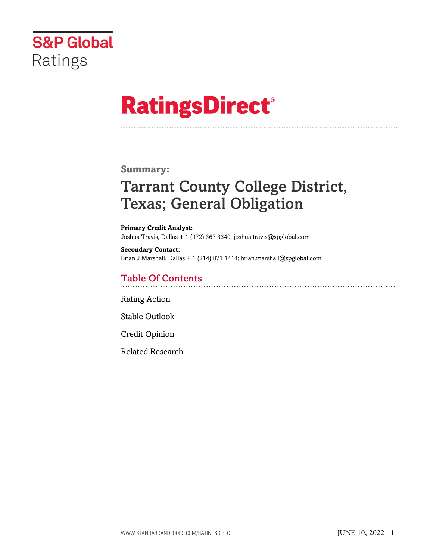

# **RatingsDirect®**

# **Summary:**

# Tarrant County College District, Texas; General Obligation

**Primary Credit Analyst:** Joshua Travis, Dallas + 1 (972) 367 3340; joshua.travis@spglobal.com

**Secondary Contact:** Brian J Marshall, Dallas + 1 (214) 871 1414; brian.marshall@spglobal.com

# Table Of Contents

[Rating Action](#page-1-0)

[Stable Outlook](#page-2-0)

[Credit Opinion](#page-2-1)

[Related Research](#page-5-0)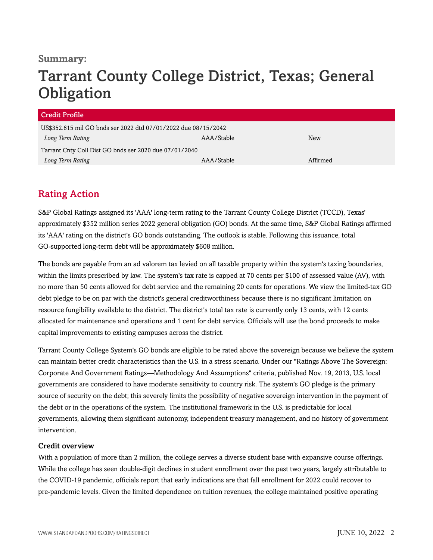# **Summary:**

# Tarrant County College District, Texas; General **Obligation**

| <b>Credit Profile</b>                                          |            |          |
|----------------------------------------------------------------|------------|----------|
| US\$352.615 mil GO bnds ser 2022 dtd 07/01/2022 due 08/15/2042 |            |          |
| Long Term Rating                                               | AAA/Stable | New      |
| Tarrant Cnty Coll Dist GO bnds ser 2020 due 07/01/2040         |            |          |
| Long Term Rating                                               | AAA/Stable | Affirmed |

# <span id="page-1-0"></span>Rating Action

S&P Global Ratings assigned its 'AAA' long-term rating to the Tarrant County College District (TCCD), Texas' approximately \$352 million series 2022 general obligation (GO) bonds. At the same time, S&P Global Ratings affirmed its 'AAA' rating on the district's GO bonds outstanding. The outlook is stable. Following this issuance, total GO-supported long-term debt will be approximately \$608 million.

The bonds are payable from an ad valorem tax levied on all taxable property within the system's taxing boundaries, within the limits prescribed by law. The system's tax rate is capped at 70 cents per \$100 of assessed value (AV), with no more than 50 cents allowed for debt service and the remaining 20 cents for operations. We view the limited-tax GO debt pledge to be on par with the district's general creditworthiness because there is no significant limitation on resource fungibility available to the district. The district's total tax rate is currently only 13 cents, with 12 cents allocated for maintenance and operations and 1 cent for debt service. Officials will use the bond proceeds to make capital improvements to existing campuses across the district.

Tarrant County College System's GO bonds are eligible to be rated above the sovereign because we believe the system can maintain better credit characteristics than the U.S. in a stress scenario. Under our "Ratings Above The Sovereign: Corporate And Government Ratings—Methodology And Assumptions" criteria, published Nov. 19, 2013, U.S. local governments are considered to have moderate sensitivity to country risk. The system's GO pledge is the primary source of security on the debt; this severely limits the possibility of negative sovereign intervention in the payment of the debt or in the operations of the system. The institutional framework in the U.S. is predictable for local governments, allowing them significant autonomy, independent treasury management, and no history of government intervention.

#### Credit overview

With a population of more than 2 million, the college serves a diverse student base with expansive course offerings. While the college has seen double-digit declines in student enrollment over the past two years, largely attributable to the COVID-19 pandemic, officials report that early indications are that fall enrollment for 2022 could recover to pre-pandemic levels. Given the limited dependence on tuition revenues, the college maintained positive operating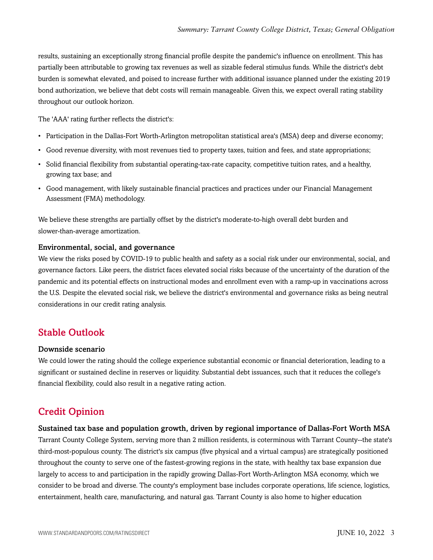results, sustaining an exceptionally strong financial profile despite the pandemic's influence on enrollment. This has partially been attributable to growing tax revenues as well as sizable federal stimulus funds. While the district's debt burden is somewhat elevated, and poised to increase further with additional issuance planned under the existing 2019 bond authorization, we believe that debt costs will remain manageable. Given this, we expect overall rating stability throughout our outlook horizon.

The 'AAA' rating further reflects the district's:

- Participation in the Dallas-Fort Worth-Arlington metropolitan statistical area's (MSA) deep and diverse economy;
- Good revenue diversity, with most revenues tied to property taxes, tuition and fees, and state appropriations;
- Solid financial flexibility from substantial operating-tax-rate capacity, competitive tuition rates, and a healthy, growing tax base; and
- Good management, with likely sustainable financial practices and practices under our Financial Management Assessment (FMA) methodology.

We believe these strengths are partially offset by the district's moderate-to-high overall debt burden and slower-than-average amortization.

#### Environmental, social, and governance

We view the risks posed by COVID-19 to public health and safety as a social risk under our environmental, social, and governance factors. Like peers, the district faces elevated social risks because of the uncertainty of the duration of the pandemic and its potential effects on instructional modes and enrollment even with a ramp-up in vaccinations across the U.S. Despite the elevated social risk, we believe the district's environmental and governance risks as being neutral considerations in our credit rating analysis.

### <span id="page-2-0"></span>Stable Outlook

#### Downside scenario

We could lower the rating should the college experience substantial economic or financial deterioration, leading to a significant or sustained decline in reserves or liquidity. Substantial debt issuances, such that it reduces the college's financial flexibility, could also result in a negative rating action.

# <span id="page-2-1"></span>Credit Opinion

#### Sustained tax base and population growth, driven by regional importance of Dallas-Fort Worth MSA

Tarrant County College System, serving more than 2 million residents, is coterminous with Tarrant County--the state's third-most-populous county. The district's six campus (five physical and a virtual campus) are strategically positioned throughout the county to serve one of the fastest-growing regions in the state, with healthy tax base expansion due largely to access to and participation in the rapidly growing Dallas-Fort Worth-Arlington MSA economy, which we consider to be broad and diverse. The county's employment base includes corporate operations, life science, logistics, entertainment, health care, manufacturing, and natural gas. Tarrant County is also home to higher education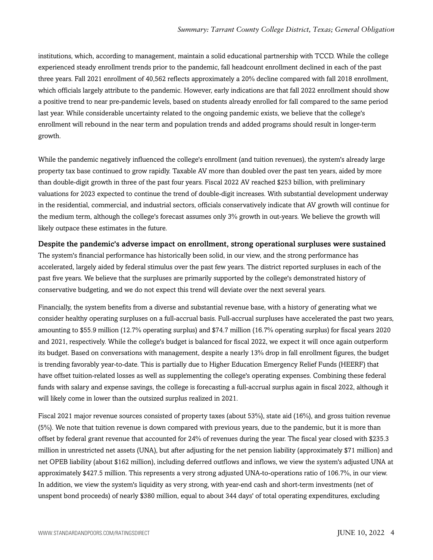institutions, which, according to management, maintain a solid educational partnership with TCCD. While the college experienced steady enrollment trends prior to the pandemic, fall headcount enrollment declined in each of the past three years. Fall 2021 enrollment of 40,562 reflects approximately a 20% decline compared with fall 2018 enrollment, which officials largely attribute to the pandemic. However, early indications are that fall 2022 enrollment should show a positive trend to near pre-pandemic levels, based on students already enrolled for fall compared to the same period last year. While considerable uncertainty related to the ongoing pandemic exists, we believe that the college's enrollment will rebound in the near term and population trends and added programs should result in longer-term growth.

While the pandemic negatively influenced the college's enrollment (and tuition revenues), the system's already large property tax base continued to grow rapidly. Taxable AV more than doubled over the past ten years, aided by more than double-digit growth in three of the past four years. Fiscal 2022 AV reached \$253 billion, with preliminary valuations for 2023 expected to continue the trend of double-digit increases. With substantial development underway in the residential, commercial, and industrial sectors, officials conservatively indicate that AV growth will continue for the medium term, although the college's forecast assumes only 3% growth in out-years. We believe the growth will likely outpace these estimates in the future.

Despite the pandemic's adverse impact on enrollment, strong operational surpluses were sustained The system's financial performance has historically been solid, in our view, and the strong performance has accelerated, largely aided by federal stimulus over the past few years. The district reported surpluses in each of the past five years. We believe that the surpluses are primarily supported by the college's demonstrated history of conservative budgeting, and we do not expect this trend will deviate over the next several years.

Financially, the system benefits from a diverse and substantial revenue base, with a history of generating what we consider healthy operating surpluses on a full-accrual basis. Full-accrual surpluses have accelerated the past two years, amounting to \$55.9 million (12.7% operating surplus) and \$74.7 million (16.7% operating surplus) for fiscal years 2020 and 2021, respectively. While the college's budget is balanced for fiscal 2022, we expect it will once again outperform its budget. Based on conversations with management, despite a nearly 13% drop in fall enrollment figures, the budget is trending favorably year-to-date. This is partially due to Higher Education Emergency Relief Funds (HEERF) that have offset tuition-related losses as well as supplementing the college's operating expenses. Combining these federal funds with salary and expense savings, the college is forecasting a full-accrual surplus again in fiscal 2022, although it will likely come in lower than the outsized surplus realized in 2021.

Fiscal 2021 major revenue sources consisted of property taxes (about 53%), state aid (16%), and gross tuition revenue (5%). We note that tuition revenue is down compared with previous years, due to the pandemic, but it is more than offset by federal grant revenue that accounted for 24% of revenues during the year. The fiscal year closed with \$235.3 million in unrestricted net assets (UNA), but after adjusting for the net pension liability (approximately \$71 million) and net OPEB liability (about \$162 million), including deferred outflows and inflows, we view the system's adjusted UNA at approximately \$427.5 million. This represents a very strong adjusted UNA-to-operations ratio of 106.7%, in our view. In addition, we view the system's liquidity as very strong, with year-end cash and short-term investments (net of unspent bond proceeds) of nearly \$380 million, equal to about 344 days' of total operating expenditures, excluding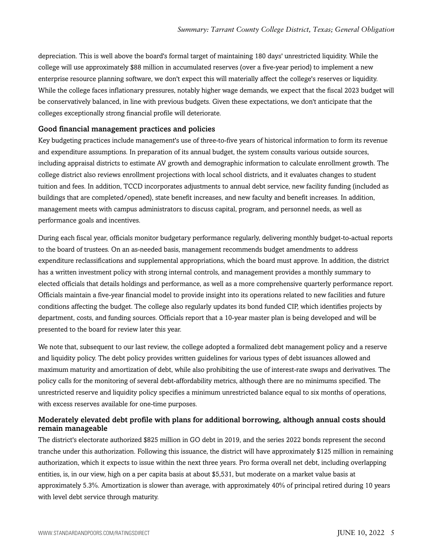depreciation. This is well above the board's formal target of maintaining 180 days' unrestricted liquidity. While the college will use approximately \$88 million in accumulated reserves (over a five-year period) to implement a new enterprise resource planning software, we don't expect this will materially affect the college's reserves or liquidity. While the college faces inflationary pressures, notably higher wage demands, we expect that the fiscal 2023 budget will be conservatively balanced, in line with previous budgets. Given these expectations, we don't anticipate that the colleges exceptionally strong financial profile will deteriorate.

#### Good financial management practices and policies

Key budgeting practices include management's use of three-to-five years of historical information to form its revenue and expenditure assumptions. In preparation of its annual budget, the system consults various outside sources, including appraisal districts to estimate AV growth and demographic information to calculate enrollment growth. The college district also reviews enrollment projections with local school districts, and it evaluates changes to student tuition and fees. In addition, TCCD incorporates adjustments to annual debt service, new facility funding (included as buildings that are completed/opened), state benefit increases, and new faculty and benefit increases. In addition, management meets with campus administrators to discuss capital, program, and personnel needs, as well as performance goals and incentives.

During each fiscal year, officials monitor budgetary performance regularly, delivering monthly budget-to-actual reports to the board of trustees. On an as-needed basis, management recommends budget amendments to address expenditure reclassifications and supplemental appropriations, which the board must approve. In addition, the district has a written investment policy with strong internal controls, and management provides a monthly summary to elected officials that details holdings and performance, as well as a more comprehensive quarterly performance report. Officials maintain a five-year financial model to provide insight into its operations related to new facilities and future conditions affecting the budget. The college also regularly updates its bond funded CIP, which identifies projects by department, costs, and funding sources. Officials report that a 10-year master plan is being developed and will be presented to the board for review later this year.

We note that, subsequent to our last review, the college adopted a formalized debt management policy and a reserve and liquidity policy. The debt policy provides written guidelines for various types of debt issuances allowed and maximum maturity and amortization of debt, while also prohibiting the use of interest-rate swaps and derivatives. The policy calls for the monitoring of several debt-affordability metrics, although there are no minimums specified. The unrestricted reserve and liquidity policy specifies a minimum unrestricted balance equal to six months of operations, with excess reserves available for one-time purposes.

#### Moderately elevated debt profile with plans for additional borrowing, although annual costs should remain manageable

The district's electorate authorized \$825 million in GO debt in 2019, and the series 2022 bonds represent the second tranche under this authorization. Following this issuance, the district will have approximately \$125 million in remaining authorization, which it expects to issue within the next three years. Pro forma overall net debt, including overlapping entities, is, in our view, high on a per capita basis at about \$5,531, but moderate on a market value basis at approximately 5.3%. Amortization is slower than average, with approximately 40% of principal retired during 10 years with level debt service through maturity.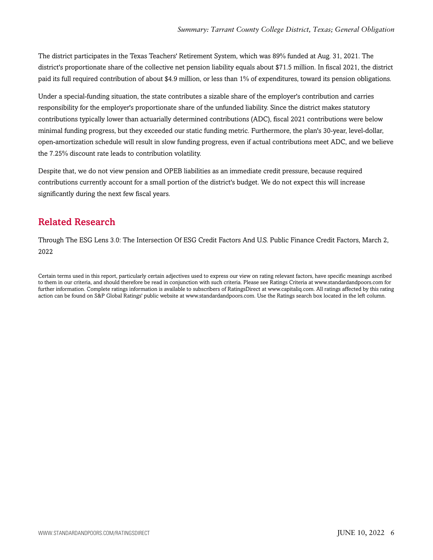The district participates in the Texas Teachers' Retirement System, which was 89% funded at Aug. 31, 2021. The district's proportionate share of the collective net pension liability equals about \$71.5 million. In fiscal 2021, the district paid its full required contribution of about \$4.9 million, or less than 1% of expenditures, toward its pension obligations.

Under a special-funding situation, the state contributes a sizable share of the employer's contribution and carries responsibility for the employer's proportionate share of the unfunded liability. Since the district makes statutory contributions typically lower than actuarially determined contributions (ADC), fiscal 2021 contributions were below minimal funding progress, but they exceeded our static funding metric. Furthermore, the plan's 30-year, level-dollar, open-amortization schedule will result in slow funding progress, even if actual contributions meet ADC, and we believe the 7.25% discount rate leads to contribution volatility.

Despite that, we do not view pension and OPEB liabilities as an immediate credit pressure, because required contributions currently account for a small portion of the district's budget. We do not expect this will increase significantly during the next few fiscal years.

# <span id="page-5-0"></span>Related Research

Through The ESG Lens 3.0: The Intersection Of ESG Credit Factors And U.S. Public Finance Credit Factors, March 2, 2022

Certain terms used in this report, particularly certain adjectives used to express our view on rating relevant factors, have specific meanings ascribed to them in our criteria, and should therefore be read in conjunction with such criteria. Please see Ratings Criteria at www.standardandpoors.com for further information. Complete ratings information is available to subscribers of RatingsDirect at www.capitaliq.com. All ratings affected by this rating action can be found on S&P Global Ratings' public website at www.standardandpoors.com. Use the Ratings search box located in the left column.